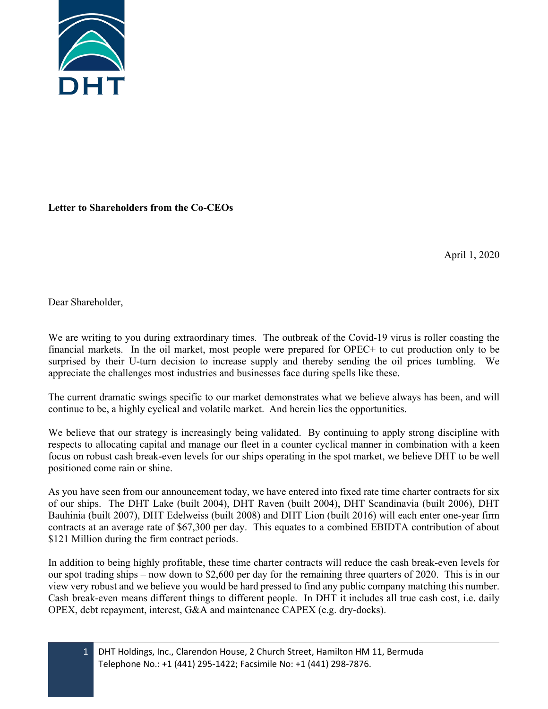

## **Letter to Shareholders from the Co-CEOs**

April 1, 2020

Dear Shareholder,

We are writing to you during extraordinary times. The outbreak of the Covid-19 virus is roller coasting the financial markets. In the oil market, most people were prepared for OPEC+ to cut production only to be surprised by their U-turn decision to increase supply and thereby sending the oil prices tumbling. We appreciate the challenges most industries and businesses face during spells like these.

The current dramatic swings specific to our market demonstrates what we believe always has been, and will continue to be, a highly cyclical and volatile market. And herein lies the opportunities.

We believe that our strategy is increasingly being validated. By continuing to apply strong discipline with respects to allocating capital and manage our fleet in a counter cyclical manner in combination with a keen focus on robust cash break-even levels for our ships operating in the spot market, we believe DHT to be well positioned come rain or shine.

As you have seen from our announcement today, we have entered into fixed rate time charter contracts for six of our ships. The DHT Lake (built 2004), DHT Raven (built 2004), DHT Scandinavia (built 2006), DHT Bauhinia (built 2007), DHT Edelweiss (built 2008) and DHT Lion (built 2016) will each enter one-year firm contracts at an average rate of \$67,300 per day. This equates to a combined EBIDTA contribution of about \$121 Million during the firm contract periods.

In addition to being highly profitable, these time charter contracts will reduce the cash break-even levels for our spot trading ships – now down to \$2,600 per day for the remaining three quarters of 2020. This is in our view very robust and we believe you would be hard pressed to find any public company matching this number. Cash break-even means different things to different people. In DHT it includes all true cash cost, i.e. daily OPEX, debt repayment, interest, G&A and maintenance CAPEX (e.g. dry-docks).

1 DHT Holdings, Inc., Clarendon House, 2 Church Street, Hamilton HM 11, Bermuda Telephone No.: +1 (441) 295-1422; Facsimile No: +1 (441) 298-7876.